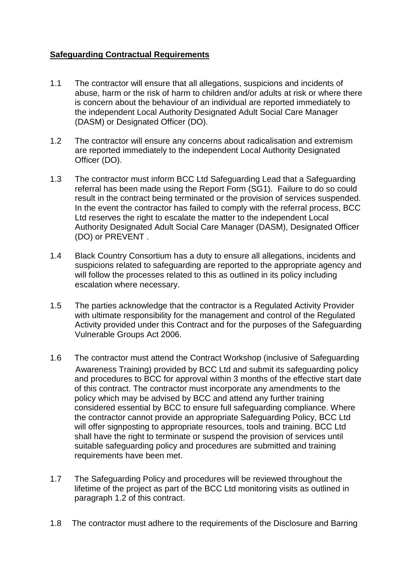## **Safeguarding Contractual Requirements**

- 1.1 The contractor will ensure that all allegations, suspicions and incidents of abuse, harm or the risk of harm to children and/or adults at risk or where there is concern about the behaviour of an individual are reported immediately to the independent Local Authority Designated Adult Social Care Manager (DASM) or Designated Officer (DO).
- 1.2 The contractor will ensure any concerns about radicalisation and extremism are reported immediately to the independent Local Authority Designated Officer (DO).
- 1.3 The contractor must inform BCC Ltd Safeguarding Lead that a Safeguarding referral has been made using the Report Form (SG1). Failure to do so could result in the contract being terminated or the provision of services suspended. In the event the contractor has failed to comply with the referral process, BCC Ltd reserves the right to escalate the matter to the independent Local Authority Designated Adult Social Care Manager (DASM), Designated Officer (DO) or PREVENT .
- 1.4 Black Country Consortium has a duty to ensure all allegations, incidents and suspicions related to safeguarding are reported to the appropriate agency and will follow the processes related to this as outlined in its policy including escalation where necessary.
- 1.5 The parties acknowledge that the contractor is a Regulated Activity Provider with ultimate responsibility for the management and control of the Regulated Activity provided under this Contract and for the purposes of the Safeguarding Vulnerable Groups Act 2006.
- 1.6 The contractor must attend the Contract Workshop (inclusive of Safeguarding Awareness Training) provided by BCC Ltd and submit its safeguarding policy and procedures to BCC for approval within 3 months of the effective start date of this contract. The contractor must incorporate any amendments to the policy which may be advised by BCC and attend any further training considered essential by BCC to ensure full safeguarding compliance. Where the contractor cannot provide an appropriate Safeguarding Policy, BCC Ltd will offer signposting to appropriate resources, tools and training. BCC Ltd shall have the right to terminate or suspend the provision of services until suitable safeguarding policy and procedures are submitted and training requirements have been met.
- 1.7 The Safeguarding Policy and procedures will be reviewed throughout the lifetime of the project as part of the BCC Ltd monitoring visits as outlined in paragraph 1.2 of this contract.
- 1.8 The contractor must adhere to the requirements of the Disclosure and Barring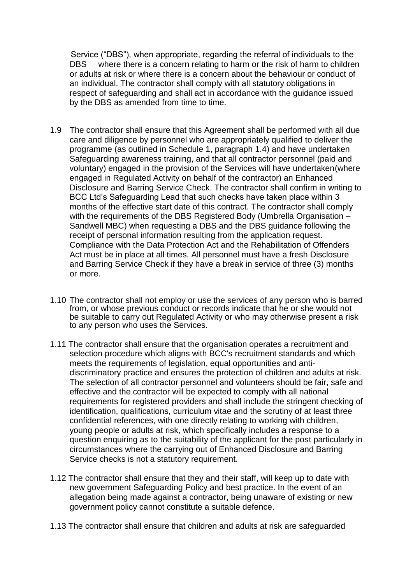Service ("DBS"), when appropriate, regarding the referral of individuals to the DBS where there is a concern relating to harm or the risk of harm to children or adults at risk or where there is a concern about the behaviour or conduct of an individual. The contractor shall comply with all statutory obligations in respect of safeguarding and shall act in accordance with the guidance issued by the DBS as amended from time to time.

- 1.9 The contractor shall ensure that this Agreement shall be performed with all due care and diligence by personnel who are appropriately qualified to deliver the programme (as outlined in Schedule 1, paragraph 1.4) and have undertaken Safeguarding awareness training, and that all contractor personnel (paid and voluntary) engaged in the provision of the Services will have undertaken(where engaged in Regulated Activity on behalf of the contractor) an Enhanced Disclosure and Barring Service Check. The contractor shall confirm in writing to BCC Ltd's Safeguarding Lead that such checks have taken place within 3 months of the effective start date of this contract. The contractor shall comply with the requirements of the DBS Registered Body (Umbrella Organisation – Sandwell MBC) when requesting a DBS and the DBS guidance following the receipt of personal information resulting from the application request. Compliance with the Data Protection Act and the Rehabilitation of Offenders Act must be in place at all times. All personnel must have a fresh Disclosure and Barring Service Check if they have a break in service of three (3) months or more.
- 1.10 The contractor shall not employ or use the services of any person who is barred from, or whose previous conduct or records indicate that he or she would not be suitable to carry out Regulated Activity or who may otherwise present a risk to any person who uses the Services.
- 1.11 The contractor shall ensure that the organisation operates a recruitment and selection procedure which aligns with BCC's recruitment standards and which meets the requirements of legislation, equal opportunities and antidiscriminatory practice and ensures the protection of children and adults at risk. The selection of all contractor personnel and volunteers should be fair, safe and effective and the contractor will be expected to comply with all national requirements for registered providers and shall include the stringent checking of identification, qualifications, curriculum vitae and the scrutiny of at least three confidential references, with one directly relating to working with children, young people or adults at risk, which specifically includes a response to a question enquiring as to the suitability of the applicant for the post particularly in circumstances where the carrying out of Enhanced Disclosure and Barring Service checks is not a statutory requirement.
- 1.12 The contractor shall ensure that they and their staff, will keep up to date with new government Safeguarding Policy and best practice. In the event of an allegation being made against a contractor, being unaware of existing or new government policy cannot constitute a suitable defence.
- 1.13 The contractor shall ensure that children and adults at risk are safeguarded